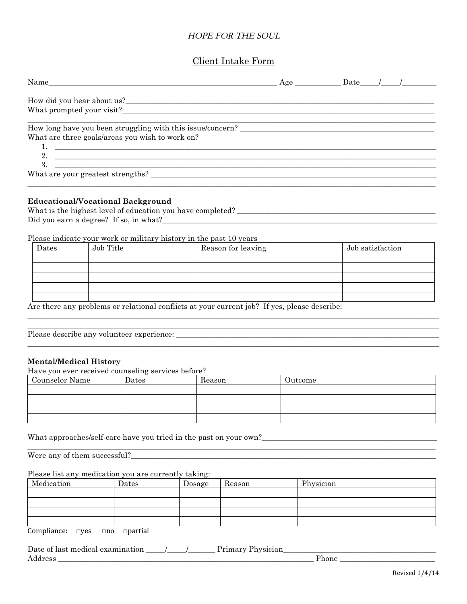# HOPE FOR THE SOUL

## Client Intake Form

|                                                                                                                                                                          | $Age$ Date $/$ |  |  |
|--------------------------------------------------------------------------------------------------------------------------------------------------------------------------|----------------|--|--|
|                                                                                                                                                                          |                |  |  |
| How long have you been struggling with this issue/concern?<br>What are three goals/areas you wish to work on?<br>1. $\overline{\phantom{a}}$<br>2. $\qquad \qquad$<br>3. |                |  |  |
| What are your greatest strengths?                                                                                                                                        |                |  |  |

#### **Educational/Vocational Background**

What is the highest level of education you have completed? \_\_\_\_\_\_\_\_\_\_\_\_\_\_\_\_\_\_\_\_\_\_\_\_\_\_\_\_\_\_\_\_\_\_\_\_\_\_\_\_\_\_\_\_\_\_\_\_\_\_\_\_ Did you earn a degree? If so, in what?\_\_\_\_\_\_\_\_\_\_\_\_\_\_\_\_\_\_\_\_\_\_\_\_\_\_\_\_\_\_\_\_\_\_\_\_\_\_\_\_\_\_\_\_\_\_\_\_\_\_\_\_\_\_\_\_\_\_\_\_\_\_\_\_\_\_\_\_\_\_\_\_

### Please indicate your work or military history in the past 10 years

| Dates | Job Title                                                                                                                                                          | Reason for leaving | Job satisfaction |  |  |  |  |  |
|-------|--------------------------------------------------------------------------------------------------------------------------------------------------------------------|--------------------|------------------|--|--|--|--|--|
|       |                                                                                                                                                                    |                    |                  |  |  |  |  |  |
|       |                                                                                                                                                                    |                    |                  |  |  |  |  |  |
|       |                                                                                                                                                                    |                    |                  |  |  |  |  |  |
|       |                                                                                                                                                                    |                    |                  |  |  |  |  |  |
|       |                                                                                                                                                                    |                    |                  |  |  |  |  |  |
|       | A contract the contract of the contract of the contract of the contract $\mathbf{r}_0$ and $\mathbf{r}_1$ and $\mathbf{r}_2$ and $\mathbf{r}_3$ and $\mathbf{r}_4$ |                    |                  |  |  |  |  |  |

\_\_\_\_\_\_\_\_\_\_\_\_\_\_\_\_\_\_\_\_\_\_\_\_\_\_\_\_\_\_\_\_\_\_\_\_\_\_\_\_\_\_\_\_\_\_\_\_\_\_\_\_\_\_\_\_\_\_\_\_\_\_\_\_\_\_\_\_\_\_\_\_\_\_\_\_\_\_\_\_\_\_\_\_\_\_\_\_\_\_\_\_\_\_\_\_\_\_\_\_\_\_\_\_\_\_\_\_

\_\_\_\_\_\_\_\_\_\_\_\_\_\_\_\_\_\_\_\_\_\_\_\_\_\_\_\_\_\_\_\_\_\_\_\_\_\_\_\_\_\_\_\_\_\_\_\_\_\_\_\_\_\_\_\_\_\_\_\_\_\_\_\_\_\_\_\_\_\_\_\_\_\_\_\_\_\_\_\_\_\_\_\_\_\_\_\_\_\_\_\_\_\_\_\_\_\_\_\_\_\_\_\_\_\_\_\_

Are there any problems or relational conflicts at your current job? If yes, please describe:

Please describe any volunteer experience:

### **Mental/Medical History**

Have you ever received counseling services before?

| Counselor Name | Dates | Reason | Outcome |
|----------------|-------|--------|---------|
|                |       |        |         |
|                |       |        |         |
|                |       |        |         |
|                |       |        |         |

\_\_\_\_\_\_\_\_\_\_\_\_\_\_\_\_\_\_\_\_\_\_\_\_\_\_\_\_\_\_\_\_\_\_\_\_\_\_\_\_\_\_\_\_\_\_\_\_\_\_\_\_\_\_\_\_\_\_\_\_\_\_\_\_\_\_\_\_\_\_\_\_\_\_\_\_\_\_\_\_\_\_\_\_\_\_\_\_\_\_\_\_\_\_\_\_\_\_\_\_\_\_\_\_\_\_\_

What approaches/self-care have you tried in the past on your own?\_\_\_\_\_\_\_\_\_\_\_\_\_\_\_\_\_\_\_\_\_\_\_\_\_\_\_\_\_\_\_\_\_\_\_\_\_\_\_\_\_\_\_\_\_\_

Were any of them successful?\_\_\_\_\_\_\_\_\_\_\_\_\_\_\_\_\_\_\_\_\_\_\_\_\_\_\_\_\_\_\_\_\_\_\_\_\_\_\_\_\_\_\_\_\_\_\_\_\_\_\_\_\_\_\_\_\_\_\_\_\_\_\_\_\_\_\_\_\_\_\_\_\_\_\_\_\_\_\_\_

### Please list any medication you are currently taking:

| Medication | Dates | Dosage | Reason | Physician |
|------------|-------|--------|--------|-----------|
|            |       |        |        |           |
|            |       |        |        |           |
|            |       |        |        |           |
|            |       |        |        |           |

Compliance: **□**yes **□**no **□**partial

Date of last medical examination  $\underline{\qquad \qquad }$  /  $\underline{\qquad \qquad }$  Primary Physician  $\rm{Address}$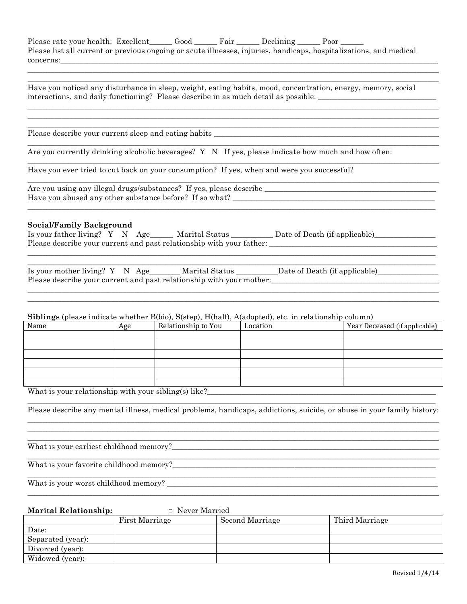| Please rate your health: Excellent Good Fair Declining Poor                                                        |  |  |  |
|--------------------------------------------------------------------------------------------------------------------|--|--|--|
| Please list all current or previous ongoing or acute illnesses, injuries, handicaps, hospitalizations, and medical |  |  |  |
| concerns:                                                                                                          |  |  |  |

\_\_\_\_\_\_\_\_\_\_\_\_\_\_\_\_\_\_\_\_\_\_\_\_\_\_\_\_\_\_\_\_\_\_\_\_\_\_\_\_\_\_\_\_\_\_\_\_\_\_\_\_\_\_\_\_\_\_\_\_\_\_\_\_\_\_\_\_\_\_\_\_\_\_\_\_\_\_\_\_\_\_\_\_\_\_\_\_\_\_\_\_\_\_\_\_\_\_\_\_\_\_\_\_\_\_\_\_ \_\_\_\_\_\_\_\_\_\_\_\_\_\_\_\_\_\_\_\_\_\_\_\_\_\_\_\_\_\_\_\_\_\_\_\_\_\_\_\_\_\_\_\_\_\_\_\_\_\_\_\_\_\_\_\_\_\_\_\_\_\_\_\_\_\_\_\_\_\_\_\_\_\_\_\_\_\_\_\_\_\_\_\_\_\_\_\_\_\_\_\_\_\_\_\_\_\_\_\_\_\_\_\_\_\_\_\_

\_\_\_\_\_\_\_\_\_\_\_\_\_\_\_\_\_\_\_\_\_\_\_\_\_\_\_\_\_\_\_\_\_\_\_\_\_\_\_\_\_\_\_\_\_\_\_\_\_\_\_\_\_\_\_\_\_\_\_\_\_\_\_\_\_\_\_\_\_\_\_\_\_\_\_\_\_\_\_\_\_\_\_\_\_\_\_\_\_\_\_\_\_\_\_\_\_\_\_\_\_\_\_\_\_\_\_\_ \_\_\_\_\_\_\_\_\_\_\_\_\_\_\_\_\_\_\_\_\_\_\_\_\_\_\_\_\_\_\_\_\_\_\_\_\_\_\_\_\_\_\_\_\_\_\_\_\_\_\_\_\_\_\_\_\_\_\_\_\_\_\_\_\_\_\_\_\_\_\_\_\_\_\_\_\_\_\_\_\_\_\_\_\_\_\_\_\_\_\_\_\_\_\_\_\_\_\_\_\_\_\_\_\_\_\_\_ \_\_\_\_\_\_\_\_\_\_\_\_\_\_\_\_\_\_\_\_\_\_\_\_\_\_\_\_\_\_\_\_\_\_\_\_\_\_\_\_\_\_\_\_\_\_\_\_\_\_\_\_\_\_\_\_\_\_\_\_\_\_\_\_\_\_\_\_\_\_\_\_\_\_\_\_\_\_\_\_\_\_\_\_\_\_\_\_\_\_\_\_\_\_\_\_\_\_\_\_\_\_\_\_\_\_\_\_

\_\_\_\_\_\_\_\_\_\_\_\_\_\_\_\_\_\_\_\_\_\_\_\_\_\_\_\_\_\_\_\_\_\_\_\_\_\_\_\_\_\_\_\_\_\_\_\_\_\_\_\_\_\_\_\_\_\_\_\_\_\_\_\_\_\_\_\_\_\_\_\_\_\_\_\_\_\_\_\_\_\_\_\_\_\_\_\_\_\_\_\_\_\_\_\_\_\_\_\_\_\_\_\_\_\_\_\_

\_\_\_\_\_\_\_\_\_\_\_\_\_\_\_\_\_\_\_\_\_\_\_\_\_\_\_\_\_\_\_\_\_\_\_\_\_\_\_\_\_\_\_\_\_\_\_\_\_\_\_\_\_\_\_\_\_\_\_\_\_\_\_\_\_\_\_\_\_\_\_\_\_\_\_\_\_\_\_\_\_\_\_\_\_\_\_\_\_\_\_\_\_\_\_\_\_\_\_\_\_\_\_\_\_\_\_\_

\_\_\_\_\_\_\_\_\_\_\_\_\_\_\_\_\_\_\_\_\_\_\_\_\_\_\_\_\_\_\_\_\_\_\_\_\_\_\_\_\_\_\_\_\_\_\_\_\_\_\_\_\_\_\_\_\_\_\_\_\_\_\_\_\_\_\_\_\_\_\_\_\_\_\_\_\_\_\_\_\_\_\_\_\_\_\_\_\_\_\_\_\_\_\_\_\_\_\_\_\_\_\_\_\_\_\_\_

\_\_\_\_\_\_\_\_\_\_\_\_\_\_\_\_\_\_\_\_\_\_\_\_\_\_\_\_\_\_\_\_\_\_\_\_\_\_\_\_\_\_\_\_\_\_\_\_\_\_\_\_\_\_\_\_\_\_\_\_\_\_\_\_\_\_\_\_\_\_\_\_\_\_\_\_\_\_\_\_\_\_\_\_\_\_\_\_\_\_\_\_\_\_\_\_\_\_\_\_\_\_\_\_\_\_\_

Have you noticed any disturbance in sleep, weight, eating habits, mood, concentration, energy, memory, social interactions, and daily functioning? Please describe in as much detail as possible: \_\_\_\_\_\_\_\_\_\_\_\_\_\_\_\_\_\_\_\_\_\_\_\_\_\_

Please describe your current sleep and eating habits \_\_\_\_\_\_\_\_\_\_\_\_\_\_\_\_\_\_\_\_\_\_\_\_\_\_\_\_\_\_\_\_\_\_\_\_\_\_\_\_\_\_\_\_\_\_\_\_\_\_\_\_\_\_\_\_\_\_\_

Are you currently drinking alcoholic beverages? Y N If yes, please indicate how much and how often:

Have you ever tried to cut back on your consumption? If yes, when and were you successful?

Are you using any illegal drugs/substances? If yes, please describe \_\_\_\_\_\_\_\_\_\_\_\_\_\_\_\_\_\_\_\_\_\_\_\_\_\_\_\_\_\_\_\_\_\_\_\_\_\_\_\_\_\_\_\_\_ Have you abused any other substance before? If so what? \_\_\_\_\_\_\_\_\_\_\_\_\_\_\_\_\_\_\_\_\_\_\_\_\_\_\_\_\_\_\_\_\_\_\_\_\_\_\_\_\_\_\_\_\_\_\_\_\_\_\_\_\_

### **Social/Family Background**

| Is your father living? Y N Age______ Marital Status                  |  |  |  |  | Date of Death (if applicable) |  |
|----------------------------------------------------------------------|--|--|--|--|-------------------------------|--|
| Please describe your current and past relationship with your father: |  |  |  |  |                               |  |

| Is your mother living? $Y \times \text{Age}$                         |  | Marital Status | Date of Death (if applicable) |  |  |  |  |
|----------------------------------------------------------------------|--|----------------|-------------------------------|--|--|--|--|
| Please describe your current and past relationship with your mother: |  |                |                               |  |  |  |  |
|                                                                      |  |                |                               |  |  |  |  |

\_\_\_\_\_\_\_\_\_\_\_\_\_\_\_\_\_\_\_\_\_\_\_\_\_\_\_\_\_\_\_\_\_\_\_\_\_\_\_\_\_\_\_\_\_\_\_\_\_\_\_\_\_\_\_\_\_\_\_\_\_\_\_\_\_\_\_\_\_\_\_\_\_\_\_\_\_\_\_\_\_\_\_\_\_\_\_\_\_\_\_\_\_\_\_\_\_\_\_\_\_\_\_\_\_\_\_\_

\_\_\_\_\_\_\_\_\_\_\_\_\_\_\_\_\_\_\_\_\_\_\_\_\_\_\_\_\_\_\_\_\_\_\_\_\_\_\_\_\_\_\_\_\_\_\_\_\_\_\_\_\_\_\_\_\_\_\_\_\_\_\_\_\_\_\_\_\_\_\_\_\_\_\_\_\_\_\_\_\_\_\_\_\_\_\_\_\_\_\_\_\_\_\_\_\_\_\_\_\_\_\_\_\_\_\_

### **Siblings** (please indicate whether B(bio), S(step), H(half), A(adopted), etc. in relationship column)

| Name | Age | Relationship to You | Location | Year Deceased (if applicable) |
|------|-----|---------------------|----------|-------------------------------|
|      |     |                     |          |                               |
|      |     |                     |          |                               |
|      |     |                     |          |                               |
|      |     |                     |          |                               |
|      |     |                     |          |                               |
|      |     |                     |          |                               |
| ____ |     |                     |          |                               |

What is your relationship with your sibling(s) like?\_\_\_\_\_\_\_\_\_\_\_\_\_\_\_\_\_\_\_\_\_\_\_\_\_\_\_\_\_\_\_\_\_\_\_\_\_\_\_\_\_\_\_\_\_\_\_\_\_\_\_\_\_\_\_\_\_\_\_\_

\_\_\_\_\_\_\_\_\_\_\_\_\_\_\_\_\_\_\_\_\_\_\_\_\_\_\_\_\_\_\_\_\_\_\_\_\_\_\_\_\_\_\_\_\_\_\_\_\_\_\_\_\_\_\_\_\_\_\_\_\_\_\_\_\_\_\_\_\_\_\_\_\_\_\_\_\_\_\_\_\_\_\_\_\_\_\_\_\_\_\_\_\_\_\_\_\_\_\_\_\_\_\_\_\_\_\_ Please describe any mental illness, medical problems, handicaps, addictions, suicide, or abuse in your family history: \_\_\_\_\_\_\_\_\_\_\_\_\_\_\_\_\_\_\_\_\_\_\_\_\_\_\_\_\_\_\_\_\_\_\_\_\_\_\_\_\_\_\_\_\_\_\_\_\_\_\_\_\_\_\_\_\_\_\_\_\_\_\_\_\_\_\_\_\_\_\_\_\_\_\_\_\_\_\_\_\_\_\_\_\_\_\_\_\_\_\_\_\_\_\_\_\_\_\_\_\_\_\_\_\_\_\_\_

\_\_\_\_\_\_\_\_\_\_\_\_\_\_\_\_\_\_\_\_\_\_\_\_\_\_\_\_\_\_\_\_\_\_\_\_\_\_\_\_\_\_\_\_\_\_\_\_\_\_\_\_\_\_\_\_\_\_\_\_\_\_\_\_\_\_\_\_\_\_\_\_\_\_\_\_\_\_\_\_\_\_\_\_\_\_\_\_\_\_\_\_\_\_\_\_\_\_\_\_\_\_\_\_\_\_\_\_ \_\_\_\_\_\_\_\_\_\_\_\_\_\_\_\_\_\_\_\_\_\_\_\_\_\_\_\_\_\_\_\_\_\_\_\_\_\_\_\_\_\_\_\_\_\_\_\_\_\_\_\_\_\_\_\_\_\_\_\_\_\_\_\_\_\_\_\_\_\_\_\_\_\_\_\_\_\_\_\_\_\_\_\_\_\_\_\_\_\_\_\_\_\_\_\_\_\_\_\_\_\_\_\_\_\_\_\_

What is your earliest childhood memory?

What is your favorite childhood memory?

What is your worst childhood memory?

## **Marital Relationship: □** Never Married

|                   | First Marriage | Second Marriage | Third Marriage |
|-------------------|----------------|-----------------|----------------|
| Date:             |                |                 |                |
| Separated (year): |                |                 |                |
| Divorced (year):  |                |                 |                |
| Widowed (year):   |                |                 |                |

\_\_\_\_\_\_\_\_\_\_\_\_\_\_\_\_\_\_\_\_\_\_\_\_\_\_\_\_\_\_\_\_\_\_\_\_\_\_\_\_\_\_\_\_\_\_\_\_\_\_\_\_\_\_\_\_\_\_\_\_\_\_\_\_\_\_\_\_\_\_\_\_\_\_\_\_\_\_\_\_\_\_\_\_\_\_\_\_\_\_\_\_\_\_\_\_\_\_\_\_\_\_\_\_\_\_\_\_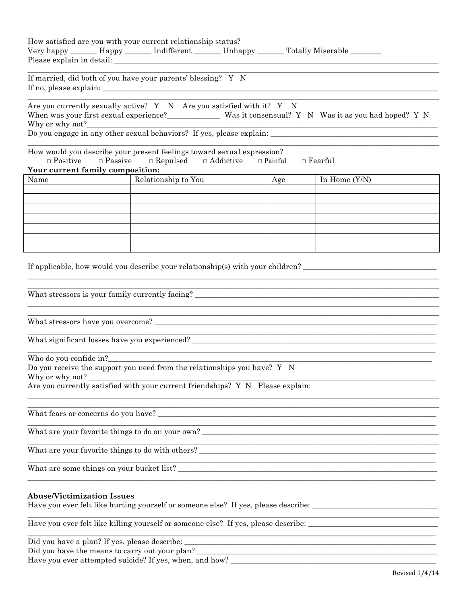|                                                                       | How satisfied are you with your current relationship status?<br>Very happy _______ Happy _______ Indifferent _______ Unhappy _______ Totally Miserable ________ |                |                                                                                                                |
|-----------------------------------------------------------------------|-----------------------------------------------------------------------------------------------------------------------------------------------------------------|----------------|----------------------------------------------------------------------------------------------------------------|
|                                                                       | If married, did both of you have your parents' blessing? Y N                                                                                                    |                |                                                                                                                |
| Why or why not?_                                                      | Are you currently sexually active? Y N Are you satisfied with it? Y N<br><u> 1989 - Jan Barnett, fransk politiker (d. 1989)</u>                                 |                | When was your first sexual experience?_____________ Was it consensual? Y N Was it as you had hoped? Y N        |
| $\Box$ Passive<br>$\Box$ Positive<br>Your current family composition: | How would you describe your present feelings toward sexual expression?<br>$\Box$ Repulsed<br>$\Box$ Addictive                                                   | $\Box$ Painful | $\Box$ Fearful                                                                                                 |
| Name                                                                  | Relationship to You                                                                                                                                             | Age            | In Home $(Y/N)$                                                                                                |
|                                                                       |                                                                                                                                                                 |                |                                                                                                                |
|                                                                       |                                                                                                                                                                 |                |                                                                                                                |
|                                                                       |                                                                                                                                                                 |                |                                                                                                                |
|                                                                       |                                                                                                                                                                 |                |                                                                                                                |
|                                                                       | What stressors is your family currently facing?                                                                                                                 |                | If applicable, how would you describe your relationship(s) with your children?                                 |
|                                                                       |                                                                                                                                                                 |                |                                                                                                                |
|                                                                       |                                                                                                                                                                 |                |                                                                                                                |
|                                                                       |                                                                                                                                                                 |                |                                                                                                                |
| Who do you confide in?<br>Why or why not?                             | Do you receive the support you need from the relationships you have? Y N<br>Are you currently satisfied with your current friendships? Y N Please explain:      |                |                                                                                                                |
|                                                                       |                                                                                                                                                                 |                |                                                                                                                |
|                                                                       | What are your favorite things to do on your own?                                                                                                                |                |                                                                                                                |
|                                                                       |                                                                                                                                                                 |                |                                                                                                                |
|                                                                       |                                                                                                                                                                 |                |                                                                                                                |
| <b>Abuse/Victimization Issues</b>                                     |                                                                                                                                                                 |                | Have you ever felt like hurting yourself or someone else? If yes, please describe: ___________________________ |
|                                                                       |                                                                                                                                                                 |                | Have you ever felt like killing yourself or someone else? If yes, please describe: ___________________________ |

Did you have a plan? If yes, please describe: \_

Did you have the means to carry out your plan?<br>Have you ever attempted suicide? If yes, when, and how?